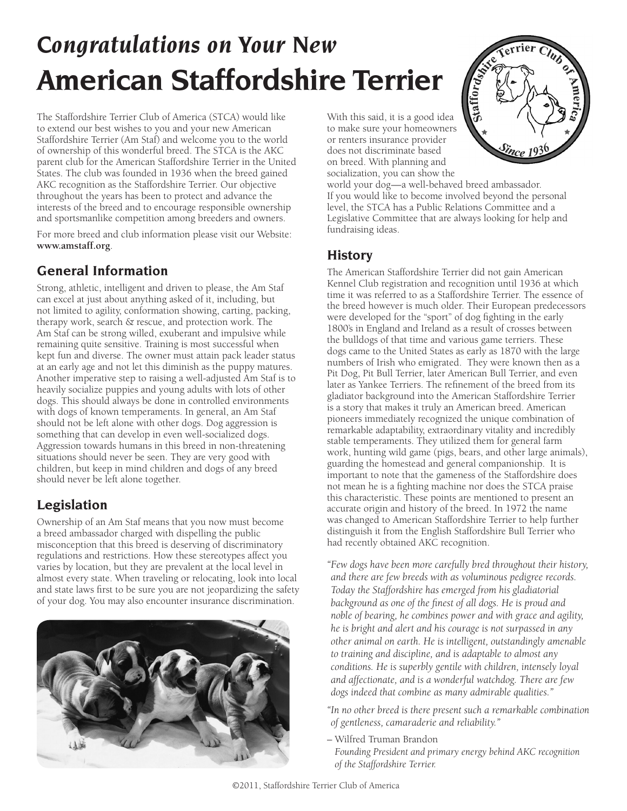# *Congratulations on Your New*  **American Staffordshire Terrier**

The Staffordshire Terrier Club of America (STCA) would like to extend our best wishes to you and your new American Staffordshire Terrier (Am Staf) and welcome you to the world of ownership of this wonderful breed. The STCA is the AKC parent club for the American Staffordshire Terrier in the United States. The club was founded in 1936 when the breed gained AKC recognition as the Staffordshire Terrier. Our objective throughout the years has been to protect and advance the interests of the breed and to encourage responsible ownership and sportsmanlike competition among breeders and owners.

For more breed and club information please visit our Website: **www.amstaff.org**.

### **General Information**

Strong, athletic, intelligent and driven to please, the Am Staf can excel at just about anything asked of it, including, but not limited to agility, conformation showing, carting, packing, therapy work, search & rescue, and protection work. The Am Staf can be strong willed, exuberant and impulsive while remaining quite sensitive. Training is most successful when kept fun and diverse. The owner must attain pack leader status at an early age and not let this diminish as the puppy matures. Another imperative step to raising a well-adjusted Am Staf is to heavily socialize puppies and young adults with lots of other dogs. This should always be done in controlled environments with dogs of known temperaments. In general, an Am Staf should not be left alone with other dogs. Dog aggression is something that can develop in even well-socialized dogs. Aggression towards humans in this breed in non-threatening situations should never be seen. They are very good with children, but keep in mind children and dogs of any breed should never be left alone together.

# **Legislation**

Ownership of an Am Staf means that you now must become a breed ambassador charged with dispelling the public misconception that this breed is deserving of discriminatory regulations and restrictions. How these stereotypes affect you varies by location, but they are prevalent at the local level in almost every state. When traveling or relocating, look into local and state laws first to be sure you are not jeopardizing the safety of your dog. You may also encounter insurance discrimination.



With this said, it is a good idea to make sure your homeowners or renters insurance provider does not discriminate based on breed. With planning and socialization, you can show the



world your dog—a well-behaved breed ambassador. If you would like to become involved beyond the personal level, the STCA has a Public Relations Committee and a Legislative Committee that are always looking for help and fundraising ideas.

#### **History**

The American Staffordshire Terrier did not gain American Kennel Club registration and recognition until 1936 at which time it was referred to as a Staffordshire Terrier. The essence of the breed however is much older. Their European predecessors were developed for the "sport" of dog fighting in the early 1800's in England and Ireland as a result of crosses between the bulldogs of that time and various game terriers. These dogs came to the United States as early as 1870 with the large numbers of Irish who emigrated. They were known then as a Pit Dog, Pit Bull Terrier, later American Bull Terrier, and even later as Yankee Terriers. The refinement of the breed from its gladiator background into the American Staffordshire Terrier is a story that makes it truly an American breed. American pioneers immediately recognized the unique combination of remarkable adaptability, extraordinary vitality and incredibly stable temperaments. They utilized them for general farm work, hunting wild game (pigs, bears, and other large animals), guarding the homestead and general companionship. It is important to note that the gameness of the Staffordshire does not mean he is a fighting machine nor does the STCA praise this characteristic. These points are mentioned to present an accurate origin and history of the breed. In 1972 the name was changed to American Staffordshire Terrier to help further distinguish it from the English Staffordshire Bull Terrier who had recently obtained AKC recognition.

*"Few dogs have been more carefully bred throughout their history, and there are few breeds with as voluminous pedigree records. Today the Staffordshire has emerged from his gladiatorial background as one of the finest of all dogs. He is proud and noble of bearing, he combines power and with grace and agility, he is bright and alert and his courage is not surpassed in any other animal on earth. He is intelligent, outstandingly amenable to training and discipline, and is adaptable to almost any conditions. He is superbly gentile with children, intensely loyal and affectionate, and is a wonderful watchdog. There are few dogs indeed that combine as many admirable qualities."*

*"In no other breed is there present such a remarkable combination of gentleness, camaraderie and reliability."*

– Wilfred Truman Brandon

*Founding President and primary energy behind AKC recognition of the Staffordshire Terrier.*